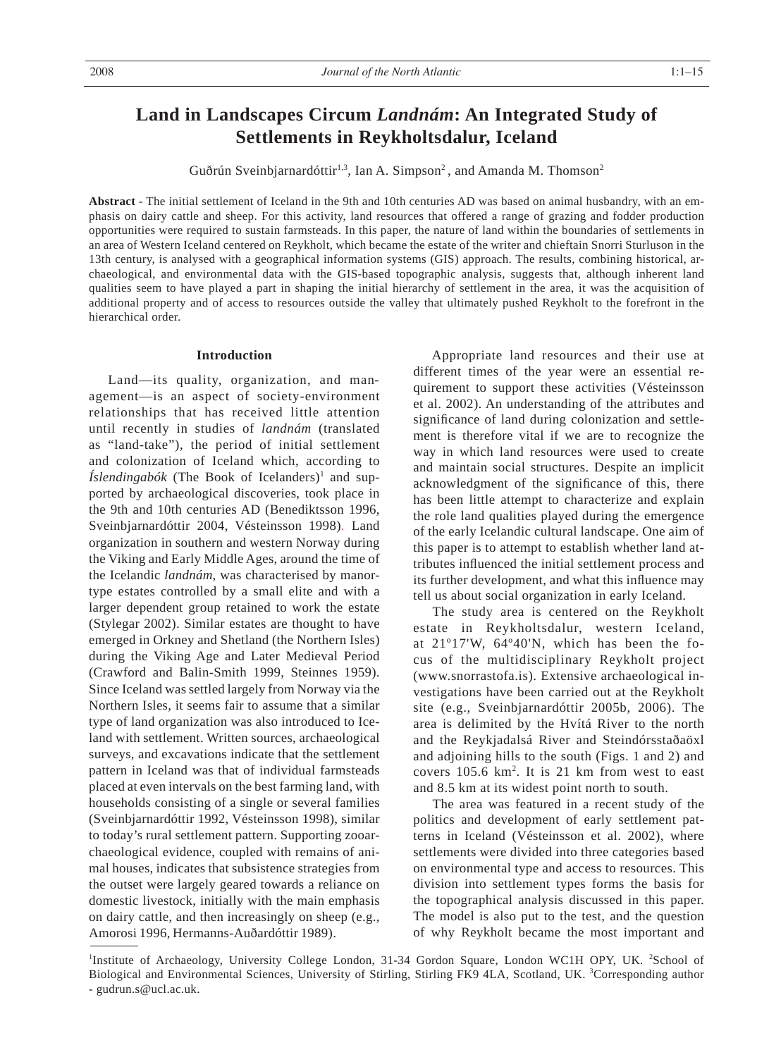# **Land in Landscapes Circum** *Landnám***: An Integrated Study of Settlements in Reykholtsdalur, Iceland**

Guðrún Sveinbjarnardóttir<sup>1,3</sup>, Ian A. Simpson<sup>2</sup>, and Amanda M. Thomson<sup>2</sup>

**Abstract** - The initial settlement of Iceland in the 9th and 10th centuries AD was based on animal husbandry, with an emphasis on dairy cattle and sheep. For this activity, land resources that offered a range of grazing and fodder production opportunities were required to sustain farmsteads. In this paper, the nature of land within the boundaries of settlements in an area of Western Iceland centered on Reykholt, which became the estate of the writer and chieftain Snorri Sturluson in the 13th century, is analysed with a geographical information systems (GIS) approach. The results, combining historical, archaeological, and environmental data with the GIS-based topographic analysis, suggests that, although inherent land qualities seem to have played a part in shaping the initial hierarchy of settlement in the area, it was the acquisition of additional property and of access to resources outside the valley that ultimately pushed Reykholt to the forefront in the hierarchical order.

### **Introduction**

 Land—its quality, organization, and management—is an aspect of society-environment relationships that has received little attention until recently in studies of *landnám* (translated as "land-take"), the period of initial settlement and colonization of Iceland which, according to  $\hat{I}$ *slendingabók* (The Book of Icelanders)<sup>1</sup> and supported by archaeological discoveries, took place in the 9th and 10th centuries AD (Benediktsson 1996, Sveinbjarnardóttir 2004, Vésteinsson 1998). Land organization in southern and western Norway during the Viking and Early Middle Ages, around the time of the Icelandic *landnám*, was characterised by manortype estates controlled by a small elite and with a larger dependent group retained to work the estate (Stylegar 2002). Similar estates are thought to have emerged in Orkney and Shetland (the Northern Isles) during the Viking Age and Later Medieval Period (Crawford and Balin-Smith 1999, Steinnes 1959). Since Iceland was settled largely from Norway via the Northern Isles, it seems fair to assume that a similar type of land organization was also introduced to Iceland with settlement. Written sources, archaeological surveys, and excavations indicate that the settlement pattern in Iceland was that of individual farmsteads placed at even intervals on the best farming land, with households consisting of a single or several families (Sveinbjarnardóttir 1992, Vésteinsson 1998), similar to today's rural settlement pattern. Supporting zooarchaeological evidence, coupled with remains of animal houses, indicates that subsistence strategies from the outset were largely geared towards a reliance on domestic livestock, initially with the main emphasis on dairy cattle, and then increasingly on sheep (e.g., Amorosi 1996, Hermanns-Auðardóttir 1989).

 Appropriate land resources and their use at different times of the year were an essential requirement to support these activities (Vésteinsson et al. 2002). An understanding of the attributes and significance of land during colonization and settlement is therefore vital if we are to recognize the way in which land resources were used to create and maintain social structures. Despite an implicit acknowledgment of the significance of this, there has been little attempt to characterize and explain the role land qualities played during the emergence of the early Icelandic cultural landscape. One aim of this paper is to attempt to establish whether land attributes influenced the initial settlement process and its further development, and what this influence may tell us about social organization in early Iceland.

 The study area is centered on the Reykholt estate in Reykholtsdalur, western Iceland, at 21º17'W, 64º40'N, which has been the focus of the multidisciplinary Reykholt project (www.snorrastofa.is). Extensive archaeological investigations have been carried out at the Reykholt site (e.g., Sveinbjarnardóttir 2005b, 2006). The area is delimited by the Hvítá River to the north and the Reykjadalsá River and Steindórsstaðaöxl and adjoining hills to the south (Figs. 1 and 2) and covers  $105.6 \text{ km}^2$ . It is  $21 \text{ km}$  from west to east and 8.5 km at its widest point north to south.

 The area was featured in a recent study of the politics and development of early settlement patterns in Iceland (Vésteinsson et al. 2002), where settlements were divided into three categories based on environmental type and access to resources. This division into settlement types forms the basis for the topographical analysis discussed in this paper. The model is also put to the test, and the question of why Reykholt became the most important and

<sup>&</sup>lt;sup>1</sup>Institute of Archaeology, University College London, 31-34 Gordon Square, London WC1H OPY, UK. <sup>2</sup>School of Biological and Environmental Sciences, University of Stirling, Stirling FK9 4LA, Scotland, UK. <sup>3</sup>Corresponding author - gudrun.s@ucl.ac.uk.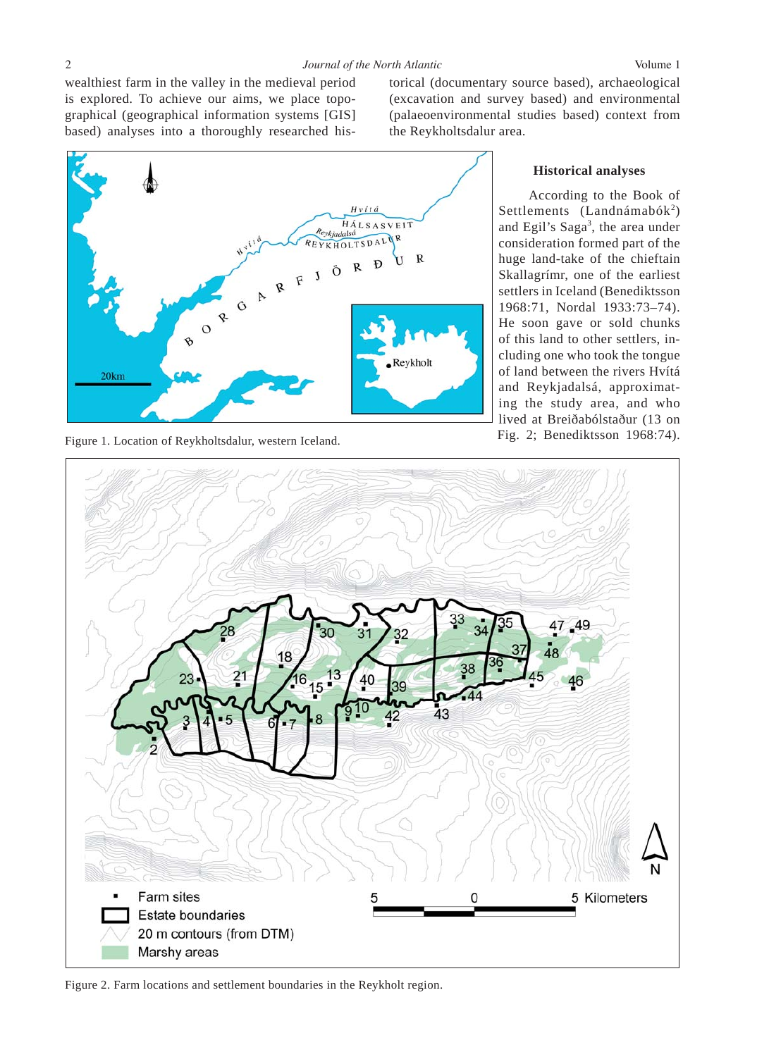wealthiest farm in the valley in the medieval period is explored. To achieve our aims, we place topographical (geographical information systems [GIS] based) analyses into a thoroughly researched his-



Fig. 2; Benediktsson 1968:74). Fig. 2; Benediktsson 1968:74).

torical (documentary source based), archaeological (excavation and survey based) and environmental (palaeoenvironmental studies based) context from the Reykholtsdalur area.

## **Historical analyses**

According to the Book of Settlements (Landnámabók<sup>2</sup>) and Egil's Saga<sup>3</sup>, the area under consideration formed part of the huge land-take of the chieftain Skallagrímr, one of the earliest settlers in Iceland (Benediktsson 1968:71, Nordal 1933:73–74). He soon gave or sold chunks of this land to other settlers, including one who took the tongue of land between the rivers Hvítá and Reykjadalsá, approximating the study area, and who lived at Breiðabólstaður (13 on



Figure 2. Farm locations and settlement boundaries in the Reykholt region.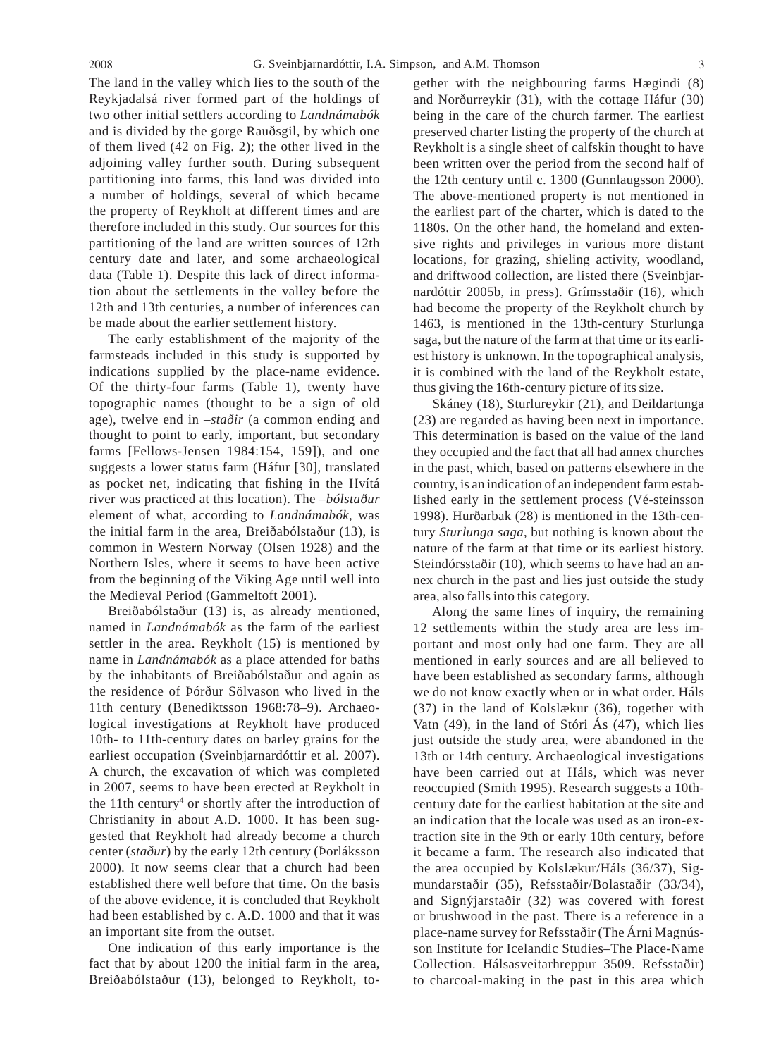The land in the valley which lies to the south of the Reykjadalsá river formed part of the holdings of two other initial settlers according to *Landnámabók* and is divided by the gorge Rauðsgil, by which one of them lived (42 on Fig. 2); the other lived in the adjoining valley further south. During subsequent partitioning into farms, this land was divided into a number of holdings, several of which became the property of Reykholt at different times and are therefore included in this study. Our sources for this partitioning of the land are written sources of 12th century date and later, and some archaeological data (Table 1). Despite this lack of direct information about the settlements in the valley before the 12th and 13th centuries, a number of inferences can be made about the earlier settlement history.

 The early establishment of the majority of the farmsteads included in this study is supported by indications supplied by the place-name evidence. Of the thirty-four farms (Table 1), twenty have topographic names (thought to be a sign of old age), twelve end in –*staðir* (a common ending and thought to point to early, important, but secondary farms [Fellows-Jensen 1984:154, 159]), and one suggests a lower status farm (Háfur [30], translated as pocket net, indicating that fishing in the Hvítá river was practiced at this location). The –*bólstaður* element of what, according to *Landnámabók*, was the initial farm in the area, Breiðabólstaður (13), is common in Western Norway (Olsen 1928) and the Northern Isles, where it seems to have been active from the beginning of the Viking Age until well into the Medieval Period (Gammeltoft 2001).

 Breiðabólstaður (13) is, as already mentioned, named in *Landnámabók* as the farm of the earliest settler in the area. Reykholt (15) is mentioned by name in *Landnámabók* as a place attended for baths by the inhabitants of Breiðabólstaður and again as the residence of Þórður Sölvason who lived in the 11th century (Benediktsson 1968:78–9). Archaeological investigations at Reykholt have produced 10th- to 11th-century dates on barley grains for the earliest occupation (Sveinbjarnardóttir et al. 2007). A church, the excavation of which was completed in 2007, seems to have been erected at Reykholt in the 11th century<sup>4</sup> or shortly after the introduction of Christianity in about A.D. 1000. It has been suggested that Reykholt had already become a church center (*staður*) by the early 12th century (Þorláksson 2000). It now seems clear that a church had been established there well before that time. On the basis of the above evidence, it is concluded that Reykholt had been established by c. A.D. 1000 and that it was an important site from the outset.

 One indication of this early importance is the fact that by about 1200 the initial farm in the area, Breiðabólstaður (13), belonged to Reykholt, together with the neighbouring farms Hægindi (8) and Norðurreykir (31), with the cottage Háfur (30) being in the care of the church farmer. The earliest preserved charter listing the property of the church at Reykholt is a single sheet of calfskin thought to have been written over the period from the second half of the 12th century until c. 1300 (Gunnlaugsson 2000). The above-mentioned property is not mentioned in the earliest part of the charter, which is dated to the 1180s. On the other hand, the homeland and extensive rights and privileges in various more distant locations, for grazing, shieling activity, woodland, and driftwood collection, are listed there (Sveinbjarnardóttir 2005b, in press). Grímsstaðir (16), which had become the property of the Reykholt church by 1463, is mentioned in the 13th-century Sturlunga saga, but the nature of the farm at that time or its earliest history is unknown. In the topographical analysis, it is combined with the land of the Reykholt estate, thus giving the 16th-century picture of its size.

 Skáney (18), Sturlureykir (21), and Deildartunga (23) are regarded as having been next in importance. This determination is based on the value of the land they occupied and the fact that all had annex churches in the past, which, based on patterns elsewhere in the country, is an indication of an independent farm established early in the settlement process (Vé-steinsson 1998). Hurðarbak (28) is mentioned in the 13th-century *Sturlunga saga*, but nothing is known about the nature of the farm at that time or its earliest history. Steindórsstaðir (10), which seems to have had an annex church in the past and lies just outside the study area, also falls into this category.

 Along the same lines of inquiry, the remaining 12 settlements within the study area are less important and most only had one farm. They are all mentioned in early sources and are all believed to have been established as secondary farms, although we do not know exactly when or in what order. Háls (37) in the land of Kolslækur (36), together with Vatn (49), in the land of Stóri Ás (47), which lies just outside the study area, were abandoned in the 13th or 14th century. Archaeological investigations have been carried out at Háls, which was never reoccupied (Smith 1995). Research suggests a 10thcentury date for the earliest habitation at the site and an indication that the locale was used as an iron-extraction site in the 9th or early 10th century, before it became a farm. The research also indicated that the area occupied by Kolslækur/Háls (36/37), Sigmundarstaðir (35), Refsstaðir/Bolastaðir (33/34), and Signýjarstaðir (32) was covered with forest or brushwood in the past. There is a reference in a place-name survey for Refsstaðir (The Árni Magnússon Institute for Icelandic Studies–The Place-Name Collection. Hálsasveitarhreppur 3509. Refsstaðir) to charcoal-making in the past in this area which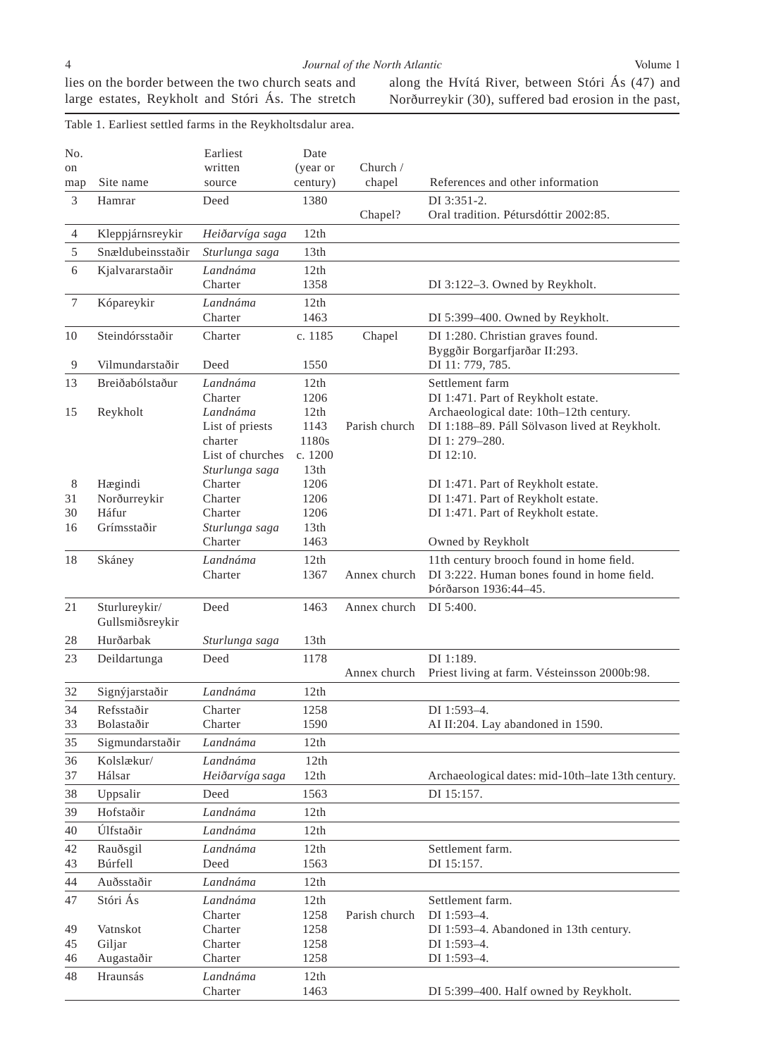lies on the border between the two church seats and large estates, Reykholt and Stóri Ás. The stretch

Table 1. Earliest settled farms in the Reykholtsdalur area.

along the Hvítá River, between Stóri Ás (47) and Norðurreykir (30), suffered bad erosion in the past,

| No.            |                                  | Earliest                    | Date             |               |                                                                          |
|----------------|----------------------------------|-----------------------------|------------------|---------------|--------------------------------------------------------------------------|
| on             |                                  | written                     | (year or         | Church /      |                                                                          |
| map            | Site name                        | source                      | century)         | chapel        | References and other information                                         |
| 3              | Hamrar                           | Deed                        | 1380             | Chapel?       | DI 3:351-2.<br>Oral tradition. Pétursdóttir 2002:85.                     |
| $\overline{4}$ | Kleppjárnsreykir                 | Heiðarvíga saga             | 12th             |               |                                                                          |
| $\sqrt{5}$     | Snældubeinsstaðir                | Sturlunga saga              | 13th             |               |                                                                          |
| 6              | Kjalvararstaðir                  | Landnáma                    | 12th             |               |                                                                          |
|                |                                  | Charter                     | 1358             |               | DI 3:122-3. Owned by Reykholt.                                           |
| $\tau$         | Kópareykir                       | Landnáma                    | 12th             |               |                                                                          |
|                |                                  | Charter                     | 1463             |               | DI 5:399-400. Owned by Reykholt.                                         |
| 10             | Steindórsstaðir                  | Charter                     | c. $1185$        | Chapel        | DI 1:280. Christian graves found.<br>Byggðir Borgarfjarðar II:293.       |
| 9              | Vilmundarstaðir                  | Deed                        | 1550             |               | DI 11:779, 785.                                                          |
| 13             | Breiðabólstaður                  | Landnáma                    | 12th             |               | Settlement farm                                                          |
|                |                                  | Charter                     | 1206             |               | DI 1:471. Part of Reykholt estate.                                       |
| 15             | Reykholt                         | Landnáma                    | 12th             |               | Archaeological date: 10th-12th century.                                  |
|                |                                  | List of priests             | 1143             | Parish church | DI 1:188-89. Páll Sölvason lived at Reykholt.                            |
|                |                                  | charter<br>List of churches | 1180s<br>c. 1200 |               | DI 1:279-280.<br>DI 12:10.                                               |
|                |                                  |                             | 13 <sub>th</sub> |               |                                                                          |
| 8              | Hægindi                          | Sturlunga saga<br>Charter   | 1206             |               |                                                                          |
| 31             | Norðurreykir                     | Charter                     | 1206             |               | DI 1:471. Part of Reykholt estate.<br>DI 1:471. Part of Reykholt estate. |
| 30             | Háfur                            | Charter                     | 1206             |               | DI 1:471. Part of Reykholt estate.                                       |
| 16             | Grímsstaðir                      |                             | 13th             |               |                                                                          |
|                |                                  | Sturlunga saga<br>Charter   | 1463             |               | Owned by Reykholt                                                        |
| 18             |                                  | Landnáma                    | 12th             |               | 11th century brooch found in home field.                                 |
|                | Skáney                           | Charter                     | 1367             | Annex church  | DI 3:222. Human bones found in home field.<br>Þórðarson 1936:44-45.      |
| 21             | Sturlureykir/<br>Gullsmiðsreykir | Deed                        | 1463             | Annex church  | DI 5:400.                                                                |
| 28             | Hurðarbak                        | Sturlunga saga              | 13th             |               |                                                                          |
| 23             | Deildartunga                     | Deed                        | 1178             | Annex church  | DI 1:189.<br>Priest living at farm. Vésteinsson 2000b:98.                |
| 32             | Signýjarstaðir                   | Landnáma                    | 12th             |               |                                                                          |
| 34             | Refsstaðir                       | Charter                     | 1258             |               | DI 1:593-4.                                                              |
| 33             | Bolastaðir                       | Charter                     | 1590             |               | AI II:204. Lay abandoned in 1590.                                        |
| 35             | Sigmundarstaðir                  | Landnáma                    | 12th             |               |                                                                          |
| 36             | Kolslækur/                       | Landnáma                    | 12th             |               |                                                                          |
| 37             | Hálsar                           | Heiðarvíga saga             | 12th             |               | Archaeological dates: mid-10th-late 13th century.                        |
| 38             | Uppsalir                         | Deed                        | 1563             |               | DI 15:157.                                                               |
| 39             | Hofstaðir                        | Landnáma                    | 12th             |               |                                                                          |
| 40             | Úlfstaðir                        | Landnáma                    | 12th             |               |                                                                          |
| 42             | Rauðsgil                         | Landnáma                    | 12th             |               | Settlement farm.                                                         |
| 43             | Búrfell                          | Deed                        | 1563             |               | DI 15:157.                                                               |
| 44             | Auðsstaðir                       | Landnáma                    | 12th             |               |                                                                          |
| 47             | Stóri Ás                         | Landnáma                    | 12th             |               | Settlement farm.                                                         |
|                |                                  | Charter                     | 1258             | Parish church | DI 1:593-4.                                                              |
| 49             | Vatnskot                         | Charter                     | 1258             |               | DI 1:593-4. Abandoned in 13th century.                                   |
| 45             | Giljar                           | Charter                     | 1258             |               | DI 1:593-4.                                                              |
| 46             | Augastaðir                       | Charter                     | 1258             |               | DI 1:593-4.                                                              |
| 48             | Hraunsás                         | Landnáma                    | 12th             |               |                                                                          |
|                |                                  | Charter                     | 1463             |               | DI 5:399-400. Half owned by Reykholt.                                    |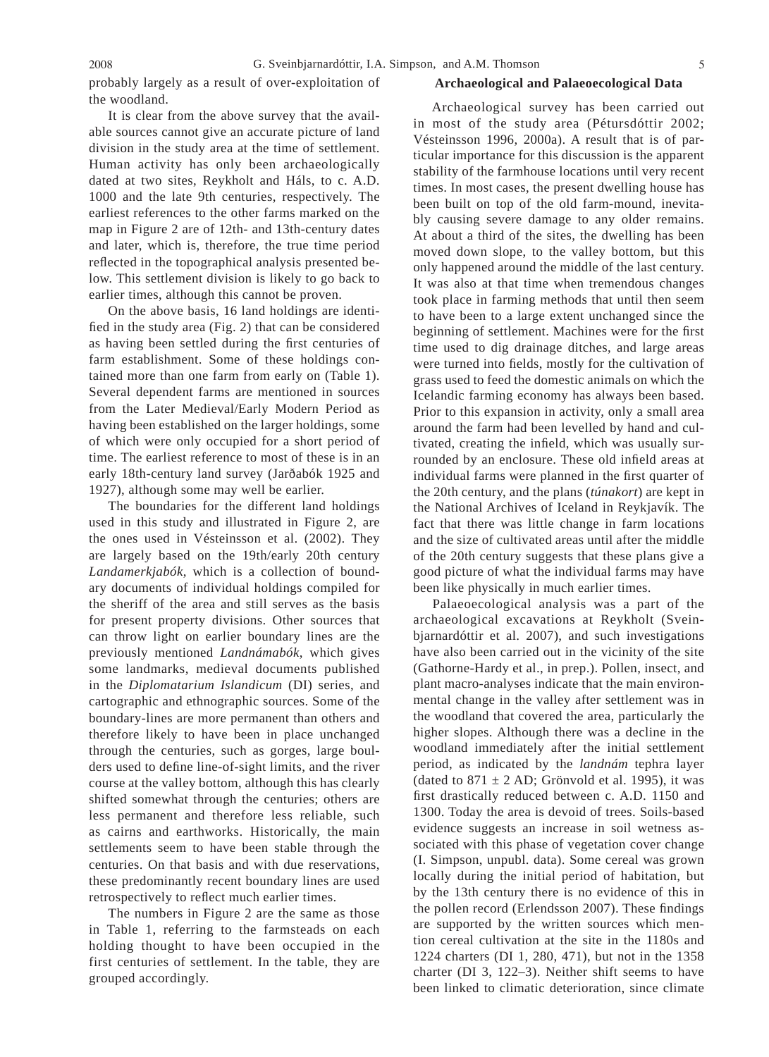probably largely as a result of over-exploitation of the woodland.

## It is clear from the above survey that the available sources cannot give an accurate picture of land division in the study area at the time of settlement. Human activity has only been archaeologically dated at two sites, Reykholt and Háls, to c. A.D. 1000 and the late 9th centuries, respectively. The earliest references to the other farms marked on the map in Figure 2 are of 12th- and 13th-century dates and later, which is, therefore, the true time period reflected in the topographical analysis presented below. This settlement division is likely to go back to earlier times, although this cannot be proven.

 On the above basis, 16 land holdings are identified in the study area (Fig. 2) that can be considered as having been settled during the first centuries of farm establishment. Some of these holdings contained more than one farm from early on (Table 1). Several dependent farms are mentioned in sources from the Later Medieval/Early Modern Period as having been established on the larger holdings, some of which were only occupied for a short period of time. The earliest reference to most of these is in an early 18th-century land survey (Jarðabók 1925 and 1927), although some may well be earlier.

 The boundaries for the different land holdings used in this study and illustrated in Figure 2, are the ones used in Vésteinsson et al. (2002). They are largely based on the 19th/early 20th century *Landamerkjabók*, which is a collection of boundary documents of individual holdings compiled for the sheriff of the area and still serves as the basis for present property divisions. Other sources that can throw light on earlier boundary lines are the previously mentioned *Landnámabók*, which gives some landmarks, medieval documents published in the *Diplomatarium Islandicum* (DI) series, and cartographic and ethnographic sources. Some of the boundary-lines are more permanent than others and therefore likely to have been in place unchanged through the centuries, such as gorges, large boulders used to define line-of-sight limits, and the river course at the valley bottom, although this has clearly shifted somewhat through the centuries; others are less permanent and therefore less reliable, such as cairns and earthworks. Historically, the main settlements seem to have been stable through the centuries. On that basis and with due reservations, these predominantly recent boundary lines are used retrospectively to reflect much earlier times.

 The numbers in Figure 2 are the same as those in Table 1, referring to the farmsteads on each holding thought to have been occupied in the first centuries of settlement. In the table, they are grouped accordingly.

#### **Archaeological and Palaeoecological Data**

 Archaeological survey has been carried out in most of the study area (Pétursdóttir 2002; Vésteinsson 1996, 2000a). A result that is of particular importance for this discussion is the apparent stability of the farmhouse locations until very recent times. In most cases, the present dwelling house has been built on top of the old farm-mound, inevitably causing severe damage to any older remains. At about a third of the sites, the dwelling has been moved down slope, to the valley bottom, but this only happened around the middle of the last century. It was also at that time when tremendous changes took place in farming methods that until then seem to have been to a large extent unchanged since the beginning of settlement. Machines were for the first time used to dig drainage ditches, and large areas were turned into fields, mostly for the cultivation of grass used to feed the domestic animals on which the Icelandic farming economy has always been based. Prior to this expansion in activity, only a small area around the farm had been levelled by hand and cultivated, creating the infield, which was usually surrounded by an enclosure. These old infield areas at individual farms were planned in the first quarter of the 20th century, and the plans (*túnakort*) are kept in the National Archives of Iceland in Reykjavík. The fact that there was little change in farm locations and the size of cultivated areas until after the middle of the 20th century suggests that these plans give a good picture of what the individual farms may have been like physically in much earlier times.

 Palaeoecological analysis was a part of the archaeological excavations at Reykholt (Sveinbjarnardóttir et al. 2007), and such investigations have also been carried out in the vicinity of the site (Gathorne-Hardy et al., in prep.). Pollen, insect, and plant macro-analyses indicate that the main environmental change in the valley after settlement was in the woodland that covered the area, particularly the higher slopes. Although there was a decline in the woodland immediately after the initial settlement period, as indicated by the *landnám* tephra layer (dated to  $871 \pm 2$  AD; Grönvold et al. 1995), it was first drastically reduced between c. A.D. 1150 and 1300. Today the area is devoid of trees. Soils-based evidence suggests an increase in soil wetness associated with this phase of vegetation cover change (I. Simpson, unpubl. data). Some cereal was grown locally during the initial period of habitation, but by the 13th century there is no evidence of this in the pollen record (Erlendsson 2007). These findings are supported by the written sources which mention cereal cultivation at the site in the 1180s and 1224 charters (DI 1, 280, 471), but not in the 1358 charter (DI 3, 122–3). Neither shift seems to have been linked to climatic deterioration, since climate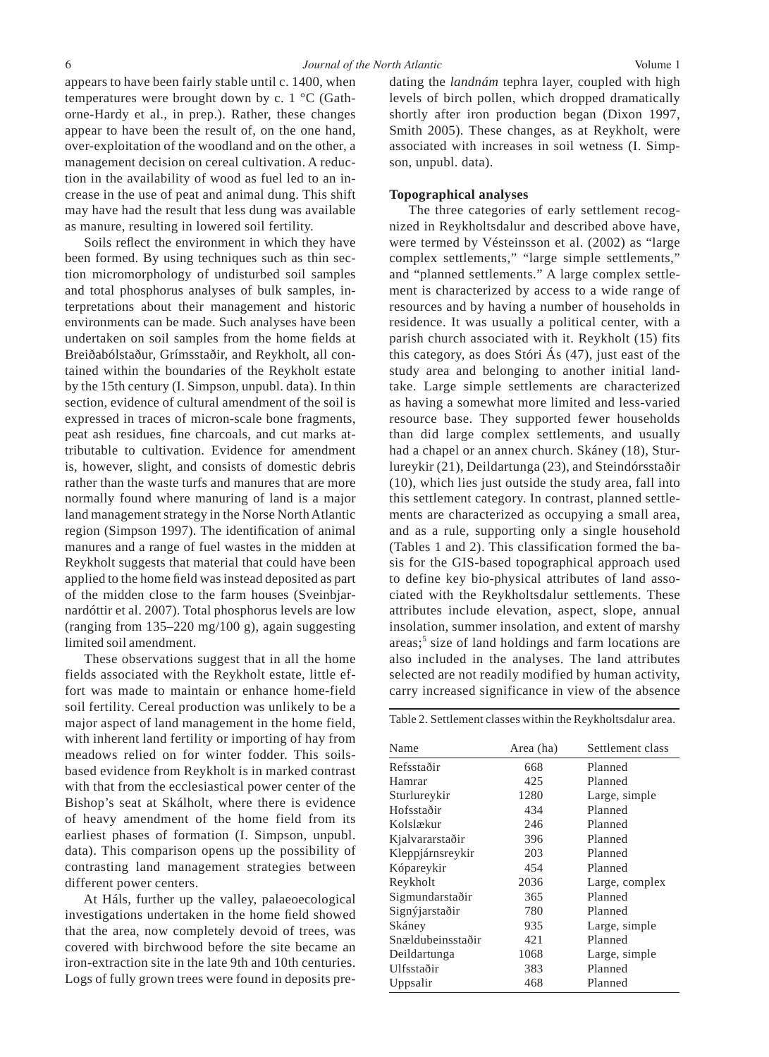appears to have been fairly stable until c. 1400, when temperatures were brought down by c. 1 °C (Gathorne-Hardy et al., in prep.). Rather, these changes appear to have been the result of, on the one hand, over-exploitation of the woodland and on the other, a management decision on cereal cultivation. A reduction in the availability of wood as fuel led to an increase in the use of peat and animal dung. This shift may have had the result that less dung was available as manure, resulting in lowered soil fertility.

Soils reflect the environment in which they have been formed. By using techniques such as thin section micromorphology of undisturbed soil samples and total phosphorus analyses of bulk samples, interpretations about their management and historic environments can be made. Such analyses have been undertaken on soil samples from the home fields at Breiðabólstaður, Grímsstaðir, and Reykholt, all contained within the boundaries of the Reykholt estate by the 15th century (I. Simpson, unpubl. data). In thin section, evidence of cultural amendment of the soil is expressed in traces of micron-scale bone fragments, peat ash residues, fine charcoals, and cut marks attributable to cultivation. Evidence for amendment is, however, slight, and consists of domestic debris rather than the waste turfs and manures that are more normally found where manuring of land is a major land management strategy in the Norse North Atlantic region (Simpson 1997). The identification of animal manures and a range of fuel wastes in the midden at Reykholt suggests that material that could have been applied to the home field was instead deposited as part of the midden close to the farm houses (Sveinbjarnardóttir et al. 2007). Total phosphorus levels are low (ranging from 135–220 mg/100 g), again suggesting limited soil amendment.

 These observations suggest that in all the home fields associated with the Reykholt estate, little effort was made to maintain or enhance home-field soil fertility. Cereal production was unlikely to be a major aspect of land management in the home field, with inherent land fertility or importing of hay from meadows relied on for winter fodder. This soilsbased evidence from Reykholt is in marked contrast with that from the ecclesiastical power center of the Bishop's seat at Skálholt, where there is evidence of heavy amendment of the home field from its earliest phases of formation (I. Simpson, unpubl. data). This comparison opens up the possibility of contrasting land management strategies between different power centers.

 At Háls, further up the valley, palaeoecological investigations undertaken in the home field showed that the area, now completely devoid of trees, was covered with birchwood before the site became an iron-extraction site in the late 9th and 10th centuries. Logs of fully grown trees were found in deposits predating the *landnám* tephra layer, coupled with high levels of birch pollen, which dropped dramatically shortly after iron production began (Dixon 1997, Smith 2005). These changes, as at Reykholt, were associated with increases in soil wetness (I. Simpson, unpubl. data).

### **Topographical analyses**

 The three categories of early settlement recognized in Reykholtsdalur and described above have, were termed by Vésteinsson et al. (2002) as "large complex settlements," "large simple settlements," and "planned settlements." A large complex settlement is characterized by access to a wide range of resources and by having a number of households in residence. It was usually a political center, with a parish church associated with it. Reykholt (15) fits this category, as does Stóri Ás (47), just east of the study area and belonging to another initial landtake. Large simple settlements are characterized as having a somewhat more limited and less-varied resource base. They supported fewer households than did large complex settlements, and usually had a chapel or an annex church. Skáney (18), Sturlureykir (21), Deildartunga (23), and Steindórsstaðir (10), which lies just outside the study area, fall into this settlement category. In contrast, planned settlements are characterized as occupying a small area, and as a rule, supporting only a single household (Tables 1 and 2). This classification formed the basis for the GIS-based topographical approach used to define key bio-physical attributes of land associated with the Reykholtsdalur settlements. These attributes include elevation, aspect, slope, annual insolation, summer insolation, and extent of marshy areas;<sup>5</sup> size of land holdings and farm locations are also included in the analyses. The land attributes selected are not readily modified by human activity, carry increased significance in view of the absence

| Name              | Area (ha) | Settlement class |
|-------------------|-----------|------------------|
| Refsstaðir        | 668       | Planned          |
| Hamrar            | 425       | Planned          |
| Sturlureykir      | 1280      | Large, simple    |
| Hofsstaðir        | 434       | Planned          |
| Kolslækur         | 246       | Planned          |
| Kjalvararstaðir   | 396       | Planned          |
| Kleppjárnsreykir  | 203       | Planned          |
| Kópareykir        | 454       | Planned          |
| Reykholt          | 2036      | Large, complex   |
| Sigmundarstaðir   | 365       | Planned          |
| Signýjarstaðir    | 780       | Planned          |
| Skáney            | 935       | Large, simple    |
| Snældubeinsstaðir | 421       | Planned          |
| Deildartunga      | 1068      | Large, simple    |
| Ulfsstaðir        | 383       | Planned          |
| Uppsalir          | 468       | Planned          |

Table 2. Settlement classes within the Reykholtsdalur area.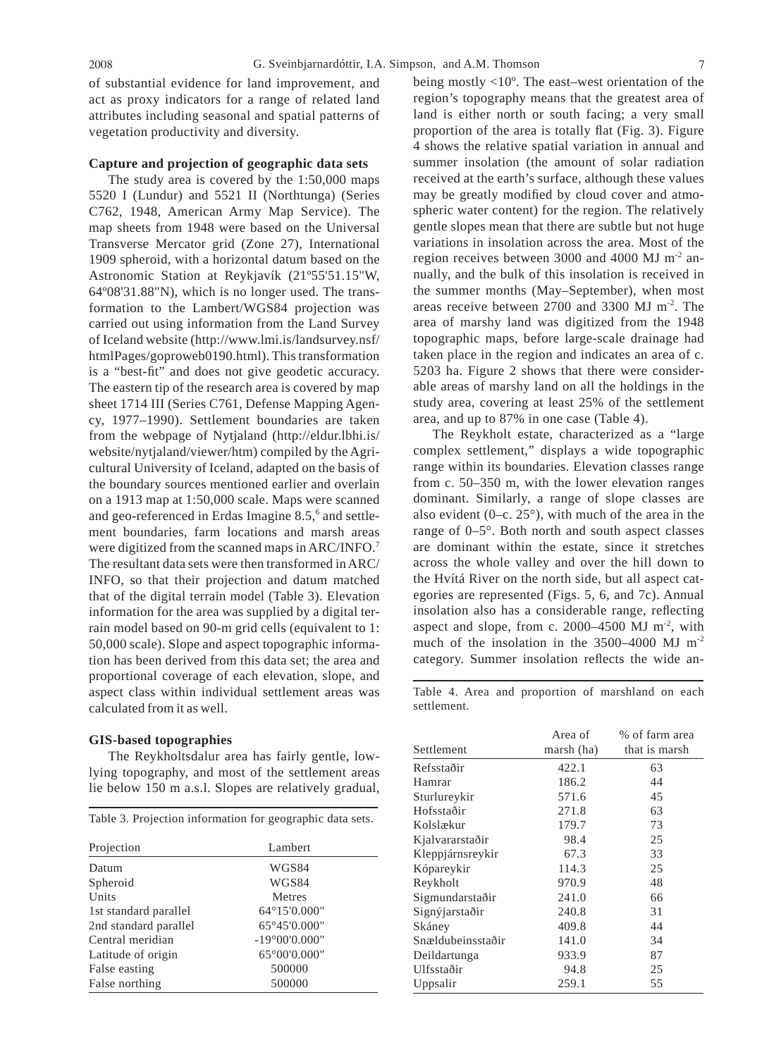of substantial evidence for land improvement, and act as proxy indicators for a range of related land attributes including seasonal and spatial patterns of vegetation productivity and diversity.

### **Capture and projection of geographic data sets**

 The study area is covered by the 1:50,000 maps 5520 I (Lundur) and 5521 II (Northtunga) (Series C762, 1948, American Army Map Service). The map sheets from 1948 were based on the Universal Transverse Mercator grid (Zone 27), International 1909 spheroid, with a horizontal datum based on the Astronomic Station at Reykjavík (21º55'51.15"W, 64º08'31.88"N), which is no longer used. The transformation to the Lambert/WGS84 projection was carried out using information from the Land Survey of Iceland website (http://www.lmi.is/landsurvey.nsf/ htmlPages/goproweb0190.html). This transformation is a "best-fit" and does not give geodetic accuracy. The eastern tip of the research area is covered by map sheet 1714 III (Series C761, Defense Mapping Agency, 1977–1990). Settlement boundaries are taken from the webpage of Nytjaland (http://eldur.lbhi.is/ website/nytjaland/viewer/htm) compiled by the Agricultural University of Iceland, adapted on the basis of the boundary sources mentioned earlier and overlain on a 1913 map at 1:50,000 scale. Maps were scanned and geo-referenced in Erdas Imagine 8.5,<sup>6</sup> and settlement boundaries, farm locations and marsh areas were digitized from the scanned maps in ARC/INFO.<sup>7</sup> The resultant data sets were then transformed in ARC/ INFO, so that their projection and datum matched that of the digital terrain model (Table 3). Elevation information for the area was supplied by a digital terrain model based on 90-m grid cells (equivalent to 1: 50,000 scale). Slope and aspect topographic information has been derived from this data set; the area and proportional coverage of each elevation, slope, and aspect class within individual settlement areas was calculated from it as well.

#### **GIS-based topographies**

 The Reykholtsdalur area has fairly gentle, lowlying topography, and most of the settlement areas lie below 150 m a.s.l. Slopes are relatively gradual,

| Lambert                |  |  |
|------------------------|--|--|
| WGS84                  |  |  |
| WGS84                  |  |  |
| <b>Metres</b>          |  |  |
| 64°15'0.000"           |  |  |
| 65°45'0.000"           |  |  |
| $-19^{\circ}00'0.000"$ |  |  |
| $65^{\circ}00'0.000"$  |  |  |
| 500000                 |  |  |
| 500000                 |  |  |
|                        |  |  |

Table 3. Projection information for geographic data sets.

being mostly <10º. The east–west orientation of the region's topography means that the greatest area of land is either north or south facing; a very small proportion of the area is totally flat (Fig. 3). Figure 4 shows the relative spatial variation in annual and summer insolation (the amount of solar radiation received at the earth's surface, although these values may be greatly modified by cloud cover and atmospheric water content) for the region. The relatively gentle slopes mean that there are subtle but not huge variations in insolation across the area. Most of the region receives between 3000 and 4000 MJ m<sup>-2</sup> annually, and the bulk of this insolation is received in the summer months (May–September), when most areas receive between 2700 and 3300 MJ m-2. The area of marshy land was digitized from the 1948 topographic maps, before large-scale drainage had taken place in the region and indicates an area of c. 5203 ha. Figure 2 shows that there were considerable areas of marshy land on all the holdings in the study area, covering at least 25% of the settlement area, and up to 87% in one case (Table 4).

 The Reykholt estate, characterized as a "large complex settlement," displays a wide topographic range within its boundaries. Elevation classes range from c. 50–350 m, with the lower elevation ranges dominant. Similarly, a range of slope classes are also evident  $(0-c. 25^{\circ})$ , with much of the area in the range of 0–5°. Both north and south aspect classes are dominant within the estate, since it stretches across the whole valley and over the hill down to the Hvítá River on the north side, but all aspect categories are represented (Figs. 5, 6, and 7c). Annual insolation also has a considerable range, reflecting aspect and slope, from c. 2000–4500 MJ  $m<sup>-2</sup>$ , with much of the insolation in the 3500–4000 MJ m<sup>-2</sup> category. Summer insolation reflects the wide an-

Table 4. Area and proportion of marshland on each settlement.

|                   | Area of    | % of farm area |
|-------------------|------------|----------------|
| Settlement        | marsh (ha) | that is marsh  |
| Refsstaðir        | 422.1      | 63             |
| Hamrar            | 186.2      | 44             |
| Sturlureykir      | 571.6      | 45             |
| Hofsstaðir        | 271.8      | 63             |
| Kolslækur         | 179.7      | 73             |
| Kjalvararstaðir   | 98.4       | 25             |
| Kleppjárnsreykir  | 67.3       | 33             |
| Kópareykir        | 114.3      | 25             |
| Reykholt          | 970.9      | 48             |
| Sigmundarstaðir   | 241.0      | 66             |
| Signýjarstaðir    | 240.8      | 31             |
| Skáney            | 409.8      | 44             |
| Snældubeinsstaðir | 141.0      | 34             |
| Deildartunga      | 933.9      | 87             |
| Ulfsstaðir        | 94.8       | 25             |
| Uppsalir          | 259.1      | 55             |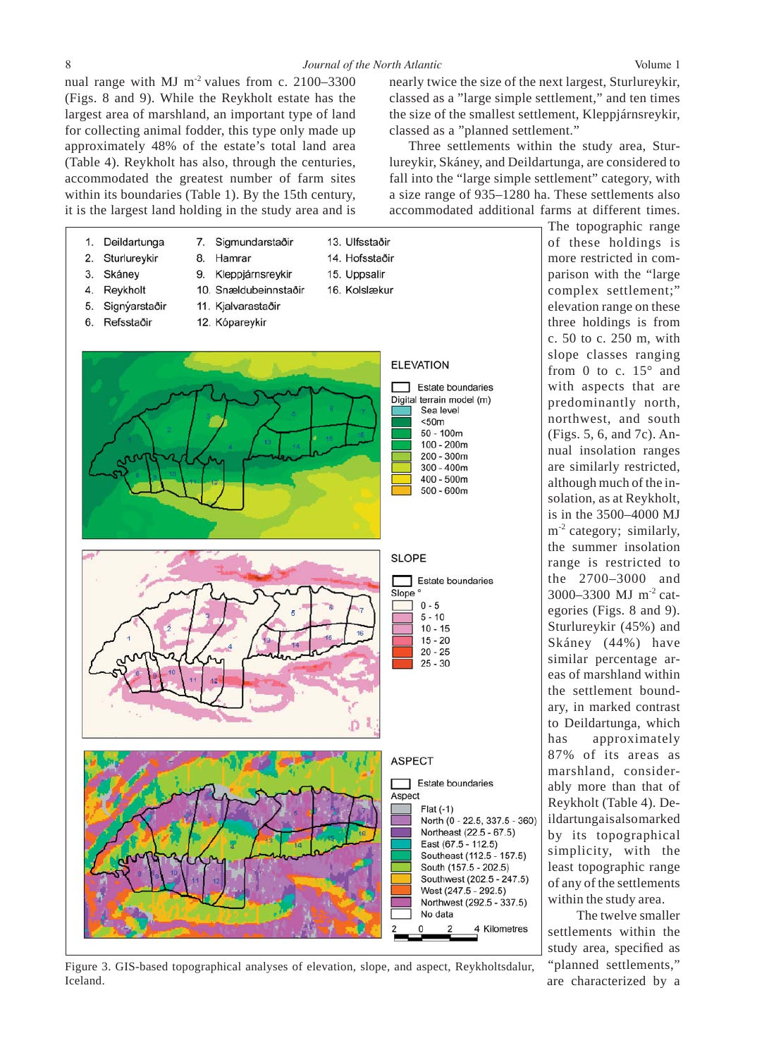nual range with MJ m<sup>-2</sup> values from c. 2100–3300 (Figs. 8 and 9). While the Reykholt estate has the largest area of marshland, an important type of land for collecting animal fodder, this type only made up approximately 48% of the estate's total land area (Table 4). Reykholt has also, through the centuries, accommodated the greatest number of farm sites within its boundaries (Table 1). By the 15th century, it is the largest land holding in the study area and is nearly twice the size of the next largest, Sturlureykir, classed as a "large simple settlement," and ten times the size of the smallest settlement, Kleppjárnsreykir, classed as a "planned settlement."

 Three settlements within the study area, Sturlureykir, Skáney, and Deildartunga, are considered to fall into the "large simple settlement" category, with a size range of 935–1280 ha. These settlements also accommodated additional farms at different times.



Figure 3. GIS-based topographical analyses of elevation, slope, and aspect, Reykholtsdalur, Iceland.

The topographic range of these holdings is more restricted in comparison with the "large complex settlement;" elevation range on these three holdings is from c. 50 to c. 250 m, with slope classes ranging from 0 to c.  $15^{\circ}$  and with aspects that are predominantly north, northwest, and south (Figs. 5, 6, and 7c). Annual insolation ranges are similarly restricted, although much of the insolation, as at Reykholt, is in the 3500–4000 MJ  $m<sup>-2</sup>$  category; similarly, the summer insolation range is restricted to the 2700–3000 and 3000–3300 MJ m-2 categories (Figs. 8 and 9). Sturlureykir (45%) and Skáney (44%) have similar percentage areas of marshland within the settlement boundary, in marked contrast to Deildartunga, which has approximately 87% of its areas as marshland, considerably more than that of Reykholt (Table 4). Deildartunga is also marked by its topographical simplicity, with the least topographic range of any of the settlements within the study area.

 The twelve smaller settlements within the study area, specified as "planned settlements," are characterized by a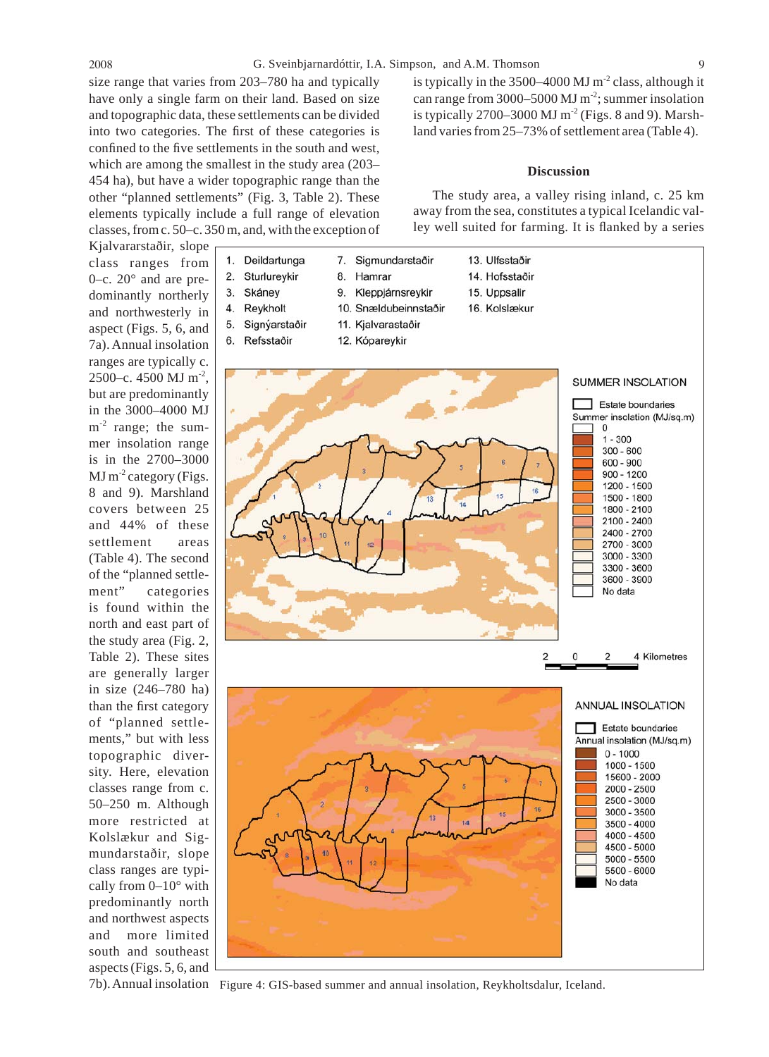size range that varies from 203–780 ha and typically have only a single farm on their land. Based on size and topographic data, these settlements can be divided into two categories. The first of these categories is confined to the five settlements in the south and west, which are among the smallest in the study area (203– 454 ha), but have a wider topographic range than the other "planned settlements" (Fig. 3, Table 2). These elements typically include a full range of elevation classes, from c. 50–c. 350 m, and, with the exception of is typically in the 3500–4000 MJ  $m<sup>2</sup>$  class, although it can range from 3000–5000 MJ  $m^{-2}$ ; summer insolation is typically  $2700-3000$  MJ m<sup>-2</sup> (Figs. 8 and 9). Marshland varies from 25–73% of settlement area (Table 4).

## **Discussion**

The study area, a valley rising inland, c. 25 km away from the sea, constitutes a typical Icelandic valley well suited for farming. It is flanked by a series





7b). Annual insolation Figure 4: GIS-based summer and annual insolation, Reykholtsdalur, Iceland.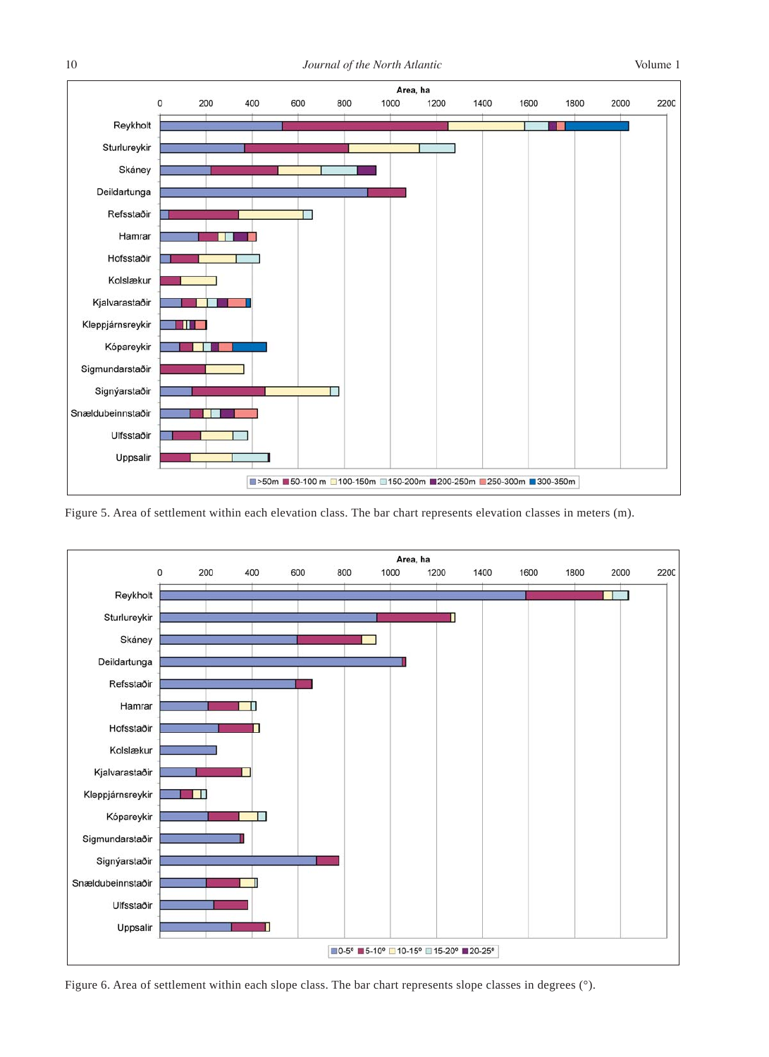10 *Journal of the North Atlantic* Volume 1



Figure 5. Area of settlement within each elevation class. The bar chart represents elevation classes in meters (m).



Figure 6. Area of settlement within each slope class. The bar chart represents slope classes in degrees (°).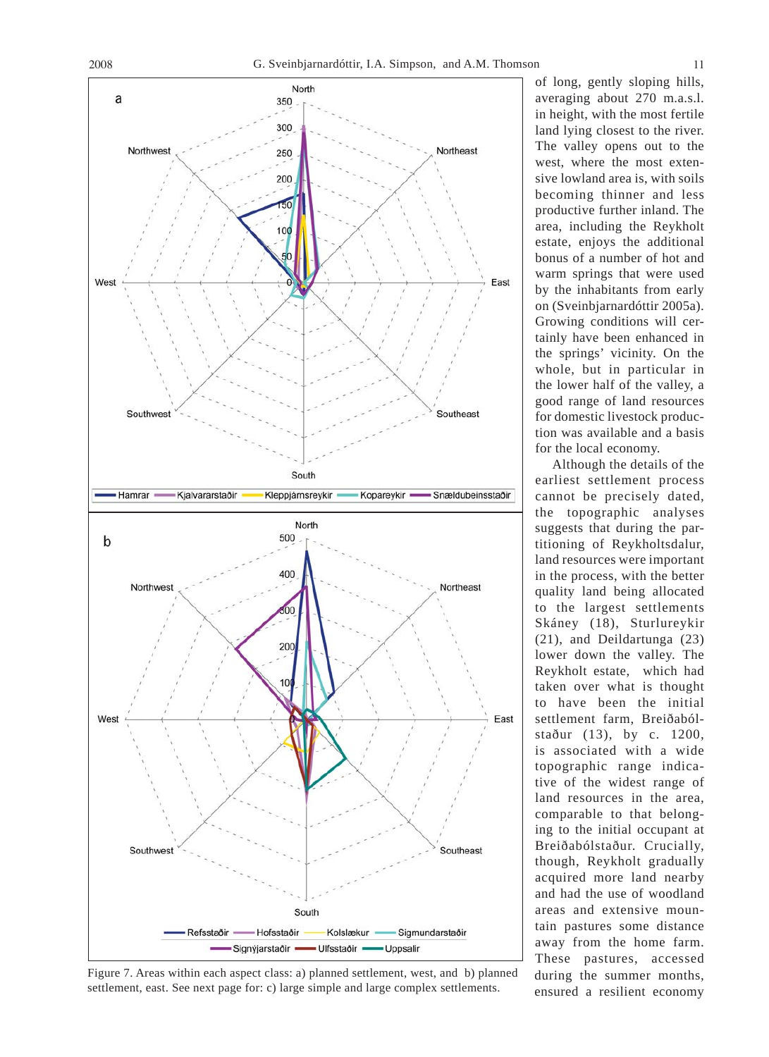West

- Hamrar -

 $\mathbf b$ 

West

Southwest

- Refsstaðir -

a



Southeast

Sigmundarstaðir

of long, gently sloping hills, averaging about 270 m.a.s.l. in height, with the most fertile land lying closest to the river. The valley opens out to the west, where the most extensive lowland area is, with soils becoming thinner and less productive further inland. The area, including the Reykholt estate, enjoys the additional bonus of a number of hot and warm springs that were used by the inhabitants from early on (Sveinbjarnardóttir 2005a). Growing conditions will certainly have been enhanced in the springs' vicinity. On the whole, but in particular in the lower half of the valley, a good range of land resources for domestic livestock production was available and a basis for the local economy.

 Although the details of the earliest settlement process cannot be precisely dated, the topographic analyses suggests that during the partitioning of Reykholtsdalur, land resources were important in the process, with the better quality land being allocated to the largest settlements Skáney (18), Sturlureykir (21), and Deildartunga (23) lower down the valley. The Reykholt estate, which had taken over what is thought to have been the initial settlement farm, Breiðabólstaður (13), by c. 1200, is associated with a wide topographic range indicative of the widest range of land resources in the area, comparable to that belonging to the initial occupant at Breiðabólstaður. Crucially, though, Reykholt gradually acquired more land nearby and had the use of woodland areas and extensive mountain pastures some distance away from the home farm. These pastures, accessed during the summer months, ensured a resilient economy

Figure 7. Areas within each aspect class: a) planned settlement, west, and b) planned settlement, east. See next page for: c) large simple and large complex settlements.

- Hofsstaðir

- Signýjarstaðir -

South

Kolslækur =

-Ulfsstaðir - Uppsalir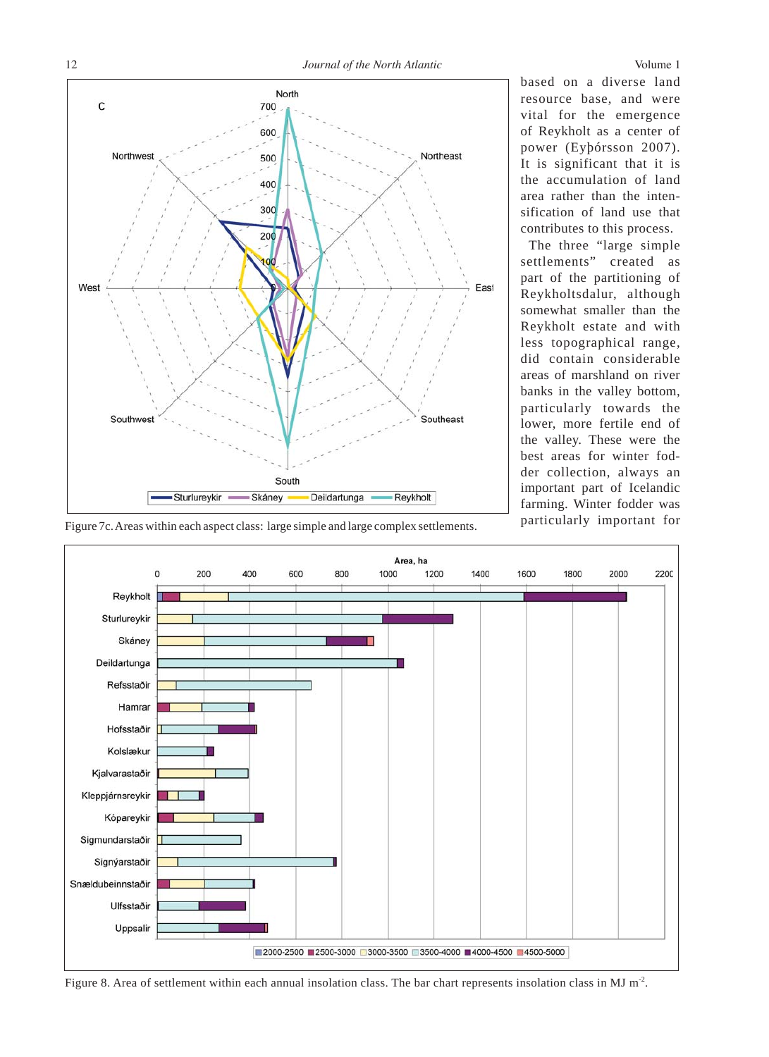

based on a diverse land resource base, and were vital for the emergence of Reykholt as a center of power (Eyþórsson 2007). It is significant that it is the accumulation of land area rather than the intensification of land use that contributes to this process.

 The three "large simple settlements" created as part of the partitioning of Reykholtsdalur, although somewhat smaller than the Reykholt estate and with less topographical range, did contain considerable areas of marshland on river banks in the valley bottom, particularly towards the lower, more fertile end of the valley. These were the best areas for winter fodder collection, always an important part of Icelandic farming. Winter fodder was particularly important for

Figure 7c. Areas within each aspect class: large simple and large complex settlements.



Figure 8. Area of settlement within each annual insolation class. The bar chart represents insolation class in MJ m<sup>-2</sup>.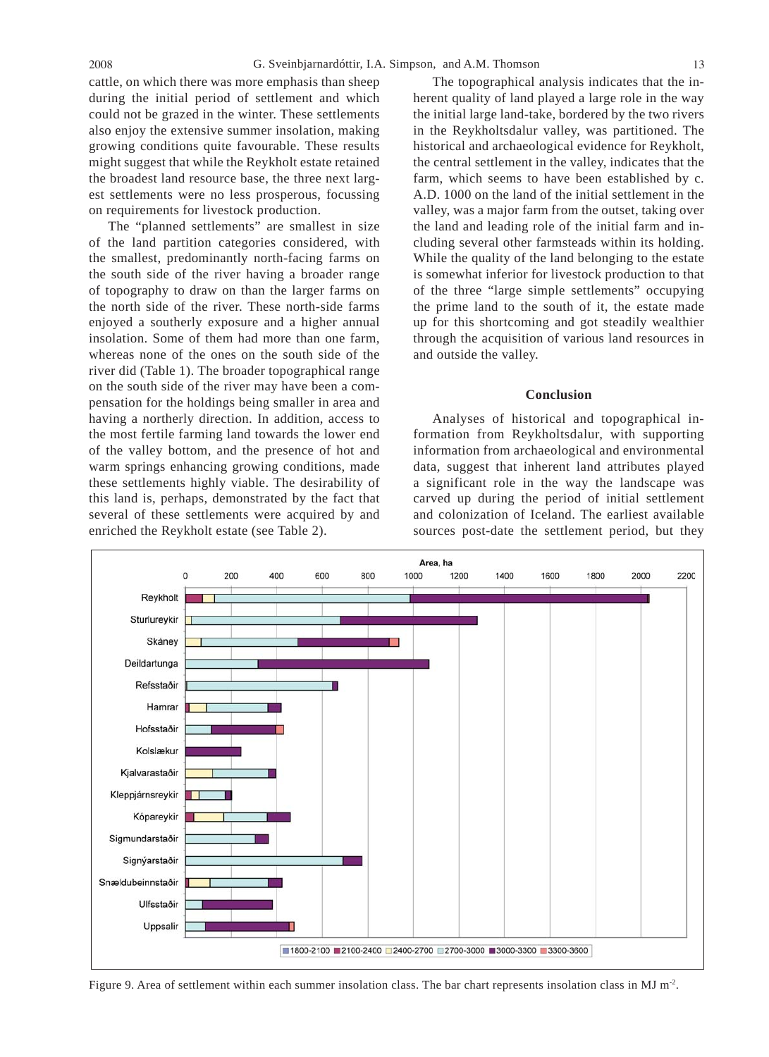cattle, on which there was more emphasis than sheep during the initial period of settlement and which could not be grazed in the winter. These settlements also enjoy the extensive summer insolation, making growing conditions quite favourable. These results might suggest that while the Reykholt estate retained the broadest land resource base, the three next largest settlements were no less prosperous, focussing on requirements for livestock production.

 The "planned settlements" are smallest in size of the land partition categories considered, with the smallest, predominantly north-facing farms on the south side of the river having a broader range of topography to draw on than the larger farms on the north side of the river. These north-side farms enjoyed a southerly exposure and a higher annual insolation. Some of them had more than one farm, whereas none of the ones on the south side of the river did (Table 1). The broader topographical range on the south side of the river may have been a compensation for the holdings being smaller in area and having a northerly direction. In addition, access to the most fertile farming land towards the lower end of the valley bottom, and the presence of hot and warm springs enhancing growing conditions, made these settlements highly viable. The desirability of this land is, perhaps, demonstrated by the fact that several of these settlements were acquired by and enriched the Reykholt estate (see Table 2).

 The topographical analysis indicates that the inherent quality of land played a large role in the way the initial large land-take, bordered by the two rivers in the Reykholtsdalur valley, was partitioned. The historical and archaeological evidence for Reykholt, the central settlement in the valley, indicates that the farm, which seems to have been established by c. A.D. 1000 on the land of the initial settlement in the valley, was a major farm from the outset, taking over the land and leading role of the initial farm and including several other farmsteads within its holding. While the quality of the land belonging to the estate is somewhat inferior for livestock production to that of the three "large simple settlements" occupying the prime land to the south of it, the estate made up for this shortcoming and got steadily wealthier through the acquisition of various land resources in and outside the valley.

## **Conclusion**

Analyses of historical and topographical information from Reykholtsdalur, with supporting information from archaeological and environmental data, suggest that inherent land attributes played a significant role in the way the landscape was carved up during the period of initial settlement and colonization of Iceland. The earliest available sources post-date the settlement period, but they



Figure 9. Area of settlement within each summer insolation class. The bar chart represents insolation class in MJ  $m<sup>2</sup>$ .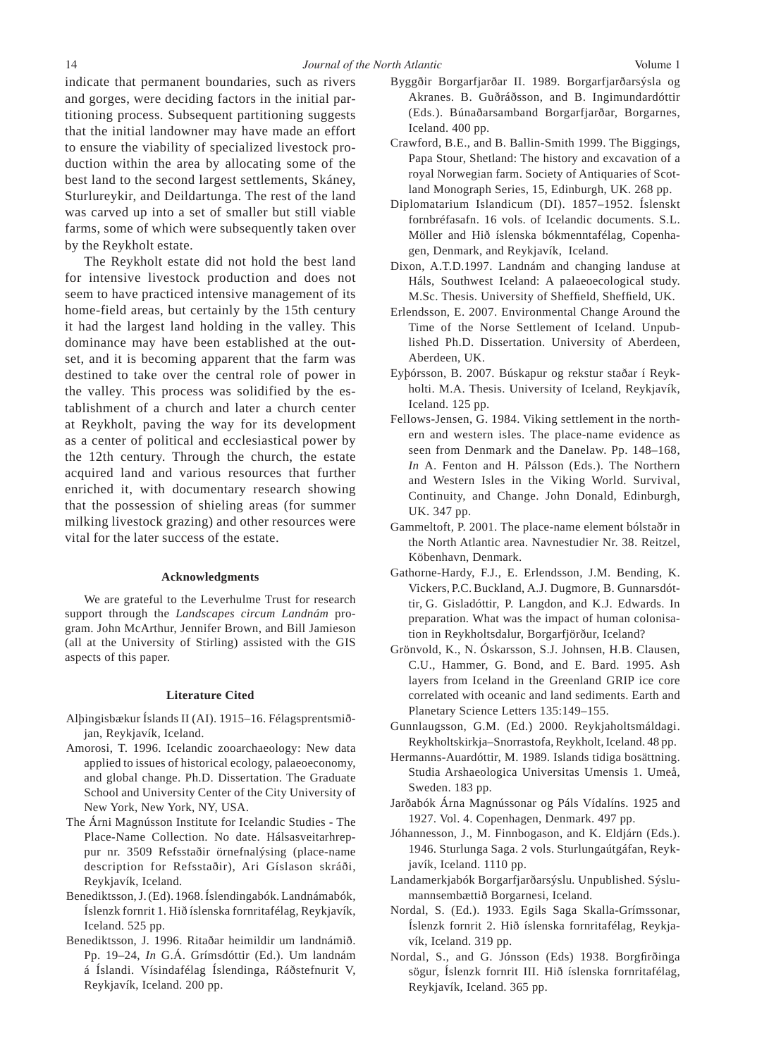indicate that permanent boundaries, such as rivers and gorges, were deciding factors in the initial partitioning process. Subsequent partitioning suggests that the initial landowner may have made an effort to ensure the viability of specialized livestock production within the area by allocating some of the best land to the second largest settlements, Skáney, Sturlureykir, and Deildartunga. The rest of the land was carved up into a set of smaller but still viable farms, some of which were subsequently taken over by the Reykholt estate.

 The Reykholt estate did not hold the best land for intensive livestock production and does not seem to have practiced intensive management of its home-field areas, but certainly by the 15th century it had the largest land holding in the valley. This dominance may have been established at the outset, and it is becoming apparent that the farm was destined to take over the central role of power in the valley. This process was solidified by the establishment of a church and later a church center at Reykholt, paving the way for its development as a center of political and ecclesiastical power by the 12th century. Through the church, the estate acquired land and various resources that further enriched it, with documentary research showing that the possession of shieling areas (for summer milking livestock grazing) and other resources were vital for the later success of the estate.

#### **Acknowledgments**

 We are grateful to the Leverhulme Trust for research support through the *Landscapes circum Landnám* program. John McArthur, Jennifer Brown, and Bill Jamieson (all at the University of Stirling) assisted with the GIS aspects of this paper.

#### **Literature Cited**

- Alþingisbækur Íslands II (AI). 1915–16. Félagsprentsmiðjan, Reykjavík, Iceland.
- Amorosi, T. 1996. Icelandic zooarchaeology: New data applied to issues of historical ecology, palaeoeconomy, and global change. Ph.D. Dissertation. The Graduate School and University Center of the City University of New York, New York, NY, USA.
- The Árni Magnússon Institute for Icelandic Studies The Place-Name Collection. No date. Hálsasveitarhreppur nr. 3509 Refsstaðir örnefnalýsing (place-name description for Refsstaðir), Ari Gíslason skráði, Reykjavík, Iceland.
- Benediktsson, J. (Ed). 1968. Íslendingabók. Landnámabók*,*  Íslenzk fornrit 1. Hið íslenska fornritafélag, Reykjavík, Iceland. 525 pp.
- Benediktsson, J. 1996. Ritaðar heimildir um landnámið. Pp. 19–24, *In* G.Á. Grímsdóttir (Ed.). Um landnám á Íslandi. Vísindafélag Íslendinga, Ráðstefnurit V, Reykjavík, Iceland. 200 pp.
- Byggðir Borgarfjarðar II. 1989. Borgarfjarðarsýsla og Akranes. B. Guðráðsson, and B. Ingimundardóttir (Eds.). Búnaðarsamband Borgarfjarðar, Borgarnes, Iceland. 400 pp.
- Crawford, B.E., and B. Ballin-Smith 1999. The Biggings, Papa Stour, Shetland: The history and excavation of a royal Norwegian farm. Society of Antiquaries of Scotland Monograph Series, 15, Edinburgh, UK. 268 pp.
- Diplomatarium Islandicum (DI). 1857–1952. Íslenskt fornbréfasafn. 16 vols. of Icelandic documents. S.L. Möller and Hið íslenska bókmenntafélag, Copenhagen, Denmark, and Reykjavík, Iceland.
- Dixon, A.T.D.1997. Landnám and changing landuse at Háls, Southwest Iceland: A palaeoecological study. M.Sc. Thesis. University of Sheffield, Sheffield, UK.
- Erlendsson, E. 2007. Environmental Change Around the Time of the Norse Settlement of Iceland. Unpublished Ph.D. Dissertation. University of Aberdeen, Aberdeen, UK.
- Eyþórsson, B. 2007. Búskapur og rekstur staðar í Reykholti. M.A. Thesis. University of Iceland, Reykjavík, Iceland. 125 pp.
- Fellows-Jensen, G. 1984. Viking settlement in the northern and western isles. The place-name evidence as seen from Denmark and the Danelaw. Pp. 148–168, *In* A. Fenton and H. Pálsson (Eds.). The Northern and Western Isles in the Viking World. Survival, Continuity, and Change. John Donald, Edinburgh, UK. 347 pp.
- Gammeltoft, P. 2001. The place-name element bólstaðr in the North Atlantic area. Navnestudier Nr. 38. Reitzel, Köbenhavn, Denmark.
- Gathorne-Hardy, F.J., E. Erlendsson, J.M. Bending, K. Vickers, P.C.Buckland, A.J. Dugmore, B. Gunnarsdóttir, G. Gisladóttir, P. Langdon, and K.J. Edwards. In preparation. What was the impact of human colonisation in Reykholtsdalur, Borgarfjörður, Iceland?
- Grönvold, K., N. Óskarsson, S.J. Johnsen, H.B. Clausen, C.U., Hammer, G. Bond, and E. Bard. 1995. Ash layers from Iceland in the Greenland GRIP ice core correlated with oceanic and land sediments. Earth and Planetary Science Letters 135:149–155.
- Gunnlaugsson, G.M. (Ed.) 2000. Reykjaholtsmáldagi. Reykholtskirkja–Snorrastofa, Reykholt, Iceland. 48 pp.
- Hermanns-Au ardóttir, M. 1989. Islands tidiga bosättning. Studia Arshaeologica Universitas Umensis 1. Umeå, Sweden. 183 pp.
- Jarðabók Árna Magnússonar og Páls Vídalíns. 1925 and 1927. Vol. 4. Copenhagen, Denmark. 497 pp.
- Jóhannesson, J., M. Finnbogason, and K. Eldjárn (Eds.). 1946. Sturlunga Saga. 2 vols. Sturlungaútgáfan, Reykjavík, Iceland. 1110 pp.
- Landamerkjabók Borgarfjarðarsýslu*.* Unpublished. Sýslumannsembættið Borgarnesi, Iceland.
- Nordal, S. (Ed.). 1933. Egils Saga Skalla-Grímssonar, Íslenzk fornrit 2. Hið íslenska fornritafélag, Reykjavík, Iceland. 319 pp.
- Nordal, S., and G. Jónsson (Eds) 1938. Borgfirðinga sögur*,* Íslenzk fornrit III. Hið íslenska fornritafélag, Reykjavík, Iceland. 365 pp.